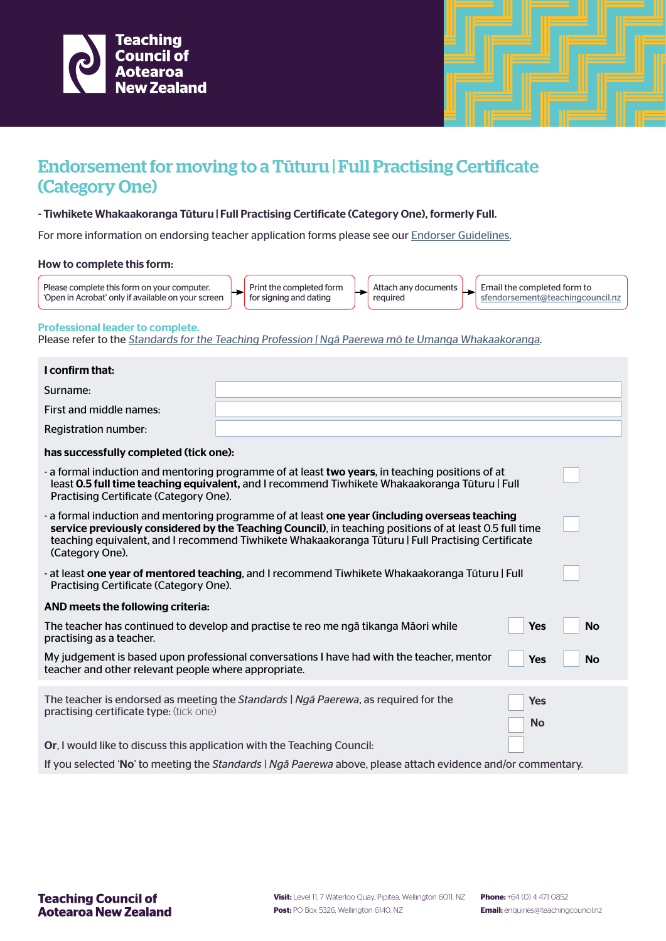



## Endorsement for moving to a Tūturu | Full Practising Certificate (Category One)

## - Tiwhikete Whakaakoranga Tūturu | Full Practising Certificate (Category One), formerly Full.

For more information on endorsing teacher application forms please see our **Endorser Guidelines**.

## How to complete this form:

| Please complete this form on your computer.<br>. 'Open in Acrobat' only if available on your screen |  | Print the completed form<br>for signing and dating |  | Attach any documents<br>reguired |  | Email the completed form to<br>sfendorsement@teachingcouncil.nz |
|-----------------------------------------------------------------------------------------------------|--|----------------------------------------------------|--|----------------------------------|--|-----------------------------------------------------------------|
|-----------------------------------------------------------------------------------------------------|--|----------------------------------------------------|--|----------------------------------|--|-----------------------------------------------------------------|

Professional leader to complete.

Please refer to the Standards for the Teaching Profession | Nga Paerewa mo te Umanga Whakaakoranga.

| I confirm that:                                                                                                                                                                                                                                                                                                                   |                                                                                                                                                                                                   |                         |           |  |  |
|-----------------------------------------------------------------------------------------------------------------------------------------------------------------------------------------------------------------------------------------------------------------------------------------------------------------------------------|---------------------------------------------------------------------------------------------------------------------------------------------------------------------------------------------------|-------------------------|-----------|--|--|
| Surname:                                                                                                                                                                                                                                                                                                                          |                                                                                                                                                                                                   |                         |           |  |  |
| First and middle names:                                                                                                                                                                                                                                                                                                           |                                                                                                                                                                                                   |                         |           |  |  |
| Registration number:                                                                                                                                                                                                                                                                                                              |                                                                                                                                                                                                   |                         |           |  |  |
| has successfully completed (tick one):                                                                                                                                                                                                                                                                                            |                                                                                                                                                                                                   |                         |           |  |  |
| Practising Certificate (Category One).                                                                                                                                                                                                                                                                                            | - a formal induction and mentoring programme of at least two years, in teaching positions of at<br>least 0.5 full time teaching equivalent, and I recommend Tiwhikete Whakaakoranga Tūturu   Full |                         |           |  |  |
| - a formal induction and mentoring programme of at least one year (including overseas teaching<br>service previously considered by the Teaching Council), in teaching positions of at least 0.5 full time<br>teaching equivalent, and I recommend Tiwhikete Whakaakoranga Tüturu   Full Practising Certificate<br>(Category One). |                                                                                                                                                                                                   |                         |           |  |  |
| Practising Certificate (Category One).                                                                                                                                                                                                                                                                                            | - at least one year of mentored teaching, and I recommend Tiwhikete Whakaakoranga Tūturu   Full                                                                                                   |                         |           |  |  |
| AND meets the following criteria:                                                                                                                                                                                                                                                                                                 |                                                                                                                                                                                                   |                         |           |  |  |
| practising as a teacher.                                                                                                                                                                                                                                                                                                          | The teacher has continued to develop and practise te reo me ngā tikanga Māori while                                                                                                               | Yes                     | <b>No</b> |  |  |
| teacher and other relevant people where appropriate.                                                                                                                                                                                                                                                                              | My judgement is based upon professional conversations I have had with the teacher, mentor                                                                                                         | <b>Yes</b>              | <b>No</b> |  |  |
| practising certificate type: (tick one)                                                                                                                                                                                                                                                                                           | The teacher is endorsed as meeting the Standards   Nga Paerewa, as required for the                                                                                                               | <b>Yes</b><br><b>No</b> |           |  |  |
| Or, I would like to discuss this application with the Teaching Council:                                                                                                                                                                                                                                                           |                                                                                                                                                                                                   |                         |           |  |  |
|                                                                                                                                                                                                                                                                                                                                   | If you selected 'No' to meeting the Standards   Nga Paerewa above, please attach evidence and/or commentary.                                                                                      |                         |           |  |  |